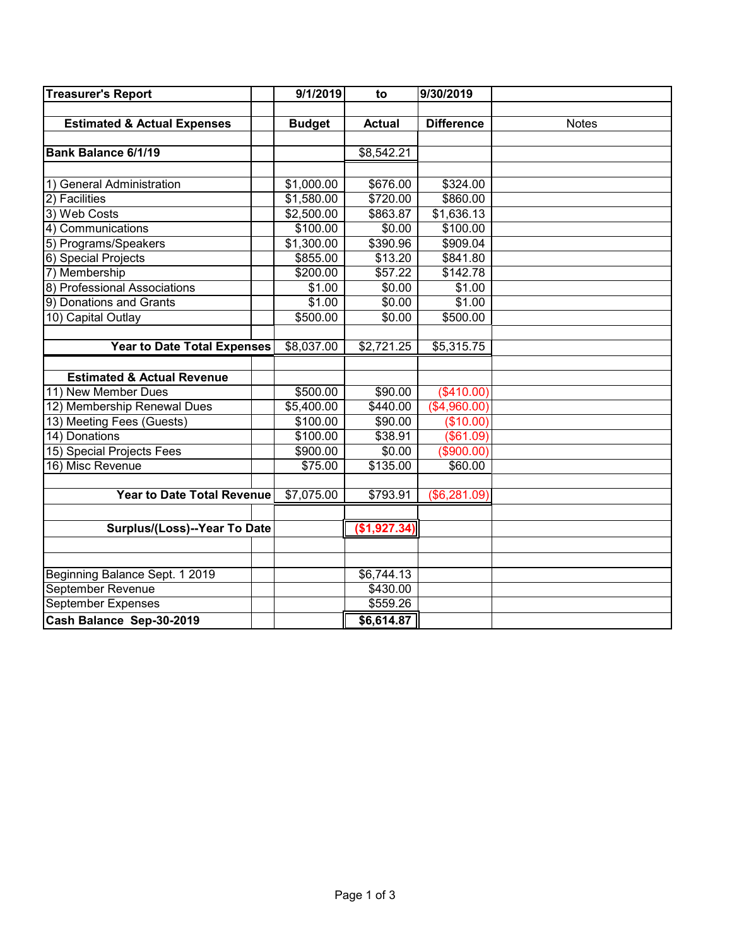| <b>Treasurer's Report</b>              | 9/1/2019      | to            | 9/30/2019         |              |
|----------------------------------------|---------------|---------------|-------------------|--------------|
|                                        |               |               |                   |              |
| <b>Estimated &amp; Actual Expenses</b> | <b>Budget</b> | <b>Actual</b> | <b>Difference</b> | <b>Notes</b> |
|                                        |               |               |                   |              |
| <b>Bank Balance 6/1/19</b>             |               | \$8,542.21    |                   |              |
|                                        |               |               |                   |              |
| 1) General Administration              | \$1,000.00    | \$676.00      | \$324.00          |              |
| 2) Facilities                          | \$1,580.00    | \$720.00      | \$860.00          |              |
| 3) Web Costs                           | \$2,500.00    | \$863.87      | \$1,636.13        |              |
| 4) Communications                      | \$100.00      | \$0.00        | \$100.00          |              |
| 5) Programs/Speakers                   | \$1,300.00    | \$390.96      | \$909.04          |              |
| 6) Special Projects                    | \$855.00      | \$13.20       | \$841.80          |              |
| 7) Membership                          | \$200.00      | \$57.22       | \$142.78          |              |
| 8) Professional Associations           | \$1.00        | \$0.00        | \$1.00            |              |
| 9) Donations and Grants                | \$1.00        | \$0.00        | \$1.00            |              |
| 10) Capital Outlay                     | \$500.00      | \$0.00        | \$500.00          |              |
|                                        |               |               |                   |              |
| <b>Year to Date Total Expenses</b>     | \$8,037.00    | \$2,721.25    | \$5,315.75        |              |
|                                        |               |               |                   |              |
| <b>Estimated &amp; Actual Revenue</b>  |               |               |                   |              |
| 11) New Member Dues                    | \$500.00      | \$90.00       | (\$410.00)        |              |
| 12) Membership Renewal Dues            | \$5,400.00    | \$440.00      | (\$4,960.00)      |              |
| 13) Meeting Fees (Guests)              | \$100.00      | \$90.00       | (\$10.00)         |              |
| 14) Donations                          | \$100.00      | \$38.91       | (\$61.09)         |              |
| 15) Special Projects Fees              | \$900.00      | \$0.00        | (\$900.00)        |              |
| 16) Misc Revenue                       | \$75.00       | \$135.00      | \$60.00           |              |
|                                        |               |               |                   |              |
| <b>Year to Date Total Revenue</b>      | \$7,075.00    | \$793.91      | (\$6,281.09)      |              |
|                                        |               |               |                   |              |
| Surplus/(Loss)--Year To Date           |               | (\$1,927.34)  |                   |              |
|                                        |               |               |                   |              |
|                                        |               |               |                   |              |
| Beginning Balance Sept. 1 2019         |               | \$6,744.13    |                   |              |
| September Revenue                      |               | \$430.00      |                   |              |
| <b>September Expenses</b>              |               | \$559.26      |                   |              |
| Cash Balance Sep-30-2019               |               | \$6,614.87    |                   |              |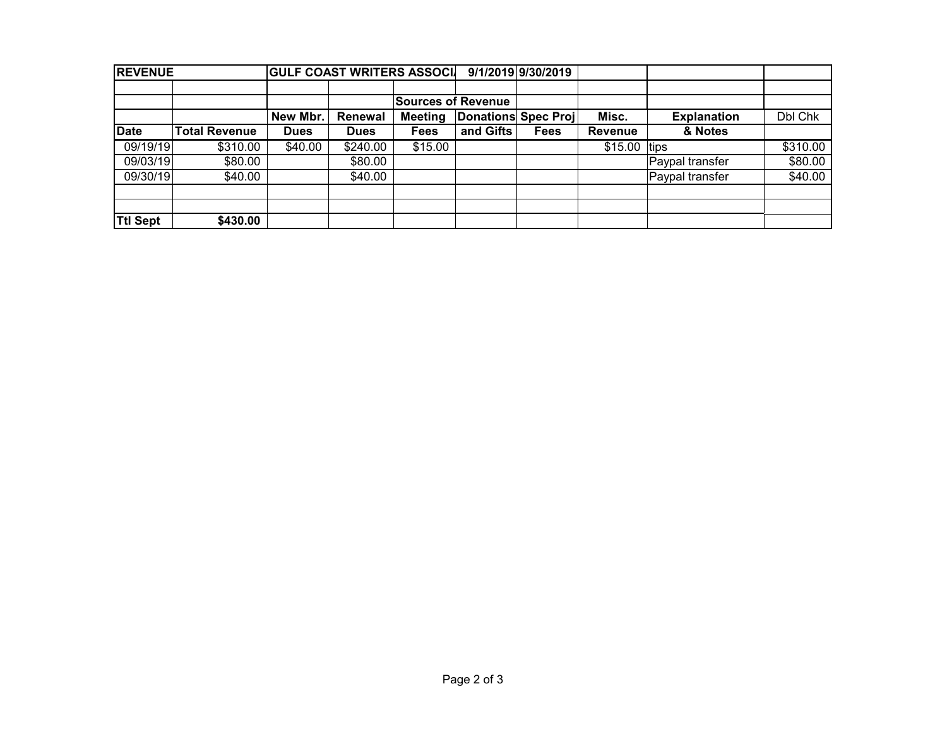| <b>REVENUE</b>  |                      | <b>GULF COAST WRITERS ASSOCI</b> |             |                                       |           | 9/1/2019 9/30/2019 |                |                    |          |
|-----------------|----------------------|----------------------------------|-------------|---------------------------------------|-----------|--------------------|----------------|--------------------|----------|
|                 |                      |                                  |             |                                       |           |                    |                |                    |          |
|                 |                      |                                  |             | <b>Sources of Revenue</b>             |           |                    |                |                    |          |
|                 |                      | New Mbr.                         | Renewal     | Donations Spec Proj<br><b>Meeting</b> |           |                    | Misc.          | <b>Explanation</b> | Dbl Chk  |
| <b>Date</b>     | <b>Total Revenue</b> | <b>Dues</b>                      | <b>Dues</b> | Fees                                  | and Gifts | Fees               | <b>Revenue</b> | & Notes            |          |
| 09/19/19        | \$310.00             | \$40.00                          | \$240.00    | \$15.00                               |           |                    | $$15.00$ tips  |                    | \$310.00 |
| 09/03/19        | \$80.00              |                                  | \$80.00     |                                       |           |                    |                | Paypal transfer    | \$80.00  |
| 09/30/19        | \$40.00              |                                  | \$40.00     |                                       |           |                    |                | Paypal transfer    | \$40.00  |
|                 |                      |                                  |             |                                       |           |                    |                |                    |          |
|                 |                      |                                  |             |                                       |           |                    |                |                    |          |
| <b>Ttl Sept</b> | \$430.00             |                                  |             |                                       |           |                    |                |                    |          |